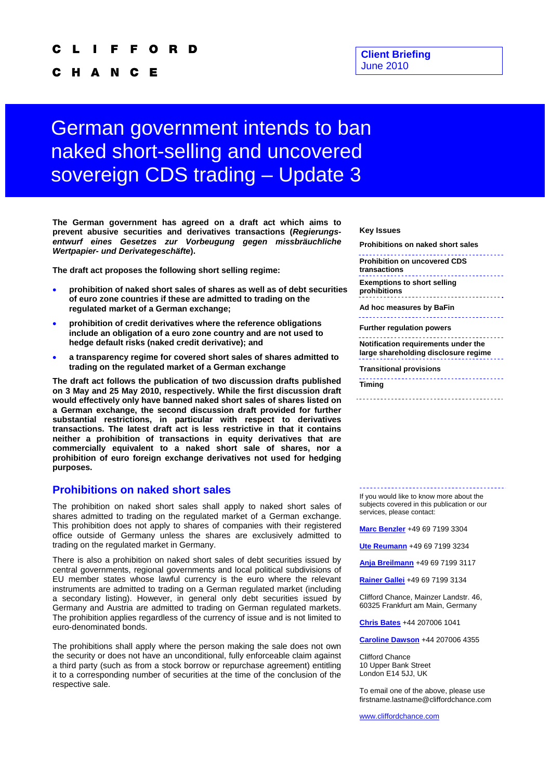#### F.  $\mathbf{o}$ R D

C H A N C Е

#### **Client Briefing**  June 2010

# German government intends to ban naked short-selling and uncovered sovereign CDS trading – Update 3

**The German government has agreed on a draft act which aims to prevent abusive securities and derivatives transactions (***Regierungsentwurf eines Gesetzes zur Vorbeugung gegen missbräuchliche Wertpapier- und Derivategeschäfte***).** 

**The draft act proposes the following short selling regime:** 

- **prohibition of naked short sales of shares as well as of debt securities of euro zone countries if these are admitted to trading on the regulated market of a German exchange;**
- **prohibition of credit derivatives where the reference obligations include an obligation of a euro zone country and are not used to hedge default risks (naked credit derivative); and**
- **a transparency regime for covered short sales of shares admitted to trading on the regulated market of a German exchange**

**The draft act follows the publication of two discussion drafts published on 3 May and 25 May 2010, respectively. While the first discussion draft would effectively only have banned naked short sales of shares listed on a German exchange, the second discussion draft provided for further substantial restrictions, in particular with respect to derivatives transactions. The latest draft act is less restrictive in that it contains neither a prohibition of transactions in equity derivatives that are commercially equivalent to a naked short sale of shares, nor a prohibition of euro foreign exchange derivatives not used for hedging purposes.** 

#### **Prohibitions on naked short sales**

The prohibition on naked short sales shall apply to naked short sales of shares admitted to trading on the regulated market of a German exchange. This prohibition does not apply to shares of companies with their registered office outside of Germany unless the shares are exclusively admitted to trading on the regulated market in Germany.

There is also a prohibition on naked short sales of debt securities issued by central governments, regional governments and local political subdivisions of EU member states whose lawful currency is the euro where the relevant instruments are admitted to trading on a German regulated market (including a secondary listing). However, in general only debt securities issued by Germany and Austria are admitted to trading on German regulated markets. The prohibition applies regardless of the currency of issue and is not limited to euro-denominated bonds.

The prohibitions shall apply where the person making the sale does not own the security or does not have an unconditional, fully enforceable claim against a third party (such as from a stock borrow or repurchase agreement) entitling it to a corresponding number of securities at the time of the conclusion of the respective sale.

#### **Key Issues**

**Prohibitions on naked short sales** 

**Prohibition on uncovered CDS transactions** 

**Exemptions to short selling prohibitions** 

**Ad hoc measures by BaFin** 

**Further regulation powers** 

**Notification requirements under the large shareholding disclosure regime** 

**Transitional provisions** 

**Timing** 

If you would like to know more about the

subjects covered in this publication or our services, please contact:

**[Marc Benzler](mailto:Marc.Benzler@cliffordchance.com)** +49 69 7199 3304

**[Ute Reumann](mailto:Ute.Reumann@cliffordchance.com)** +49 69 7199 3234

**[Anja Breilmann](mailto:Anja.Breilamnn@cliffordchance.com)** +49 69 7199 3117

**[Rainer Gallei](mailto:Rainer.Gallei@cliffordchance.com)** +49 69 7199 3134

Clifford Chance, Mainzer Landstr. 46, 60325 Frankfurt am Main, Germany

**[Chris Bates](mailto:Chris.Bates@cliffordchance.com)** +44 207006 1041

**[Caroline Dawson](mailto:Caroline.Dawson@cliffordchance.com)** +44 207006 4355

Clifford Chance 10 Upper Bank Street London E14 5JJ, UK

To email one of the above, please use firstname.lastname@cliffordchance.com

[www.cliffordchance.com](http://www.cliffordchance.com/)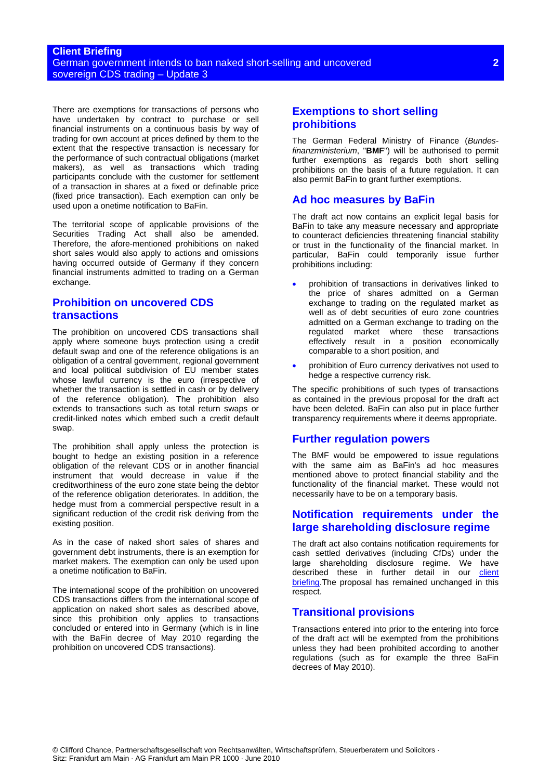#### **Client Briefing**  German government intends to ban naked short-selling and uncovered sovereign CDS trading – Update 3

There are exemptions for transactions of persons who have undertaken by contract to purchase or sell financial instruments on a continuous basis by way of trading for own account at prices defined by them to the extent that the respective transaction is necessary for the performance of such contractual obligations (market makers), as well as transactions which trading participants conclude with the customer for settlement of a transaction in shares at a fixed or definable price (fixed price transaction). Each exemption can only be used upon a onetime notification to BaFin.

The territorial scope of applicable provisions of the Securities Trading Act shall also be amended. Therefore, the afore-mentioned prohibitions on naked short sales would also apply to actions and omissions having occurred outside of Germany if they concern financial instruments admitted to trading on a German exchange.

#### **Prohibition on uncovered CDS transactions**

The prohibition on uncovered CDS transactions shall apply where someone buys protection using a credit default swap and one of the reference obligations is an obligation of a central government, regional government and local political subdivision of EU member states whose lawful currency is the euro (irrespective of whether the transaction is settled in cash or by delivery of the reference obligation). The prohibition also extends to transactions such as total return swaps or credit-linked notes which embed such a credit default swap.

The prohibition shall apply unless the protection is bought to hedge an existing position in a reference obligation of the relevant CDS or in another financial instrument that would decrease in value if the creditworthiness of the euro zone state being the debtor of the reference obligation deteriorates. In addition, the hedge must from a commercial perspective result in a significant reduction of the credit risk deriving from the existing position.

As in the case of naked short sales of shares and government debt instruments, there is an exemption for market makers. The exemption can only be used upon a onetime notification to BaFin.

The international scope of the prohibition on uncovered CDS transactions differs from the international scope of application on naked short sales as described above, since this prohibition only applies to transactions concluded or entered into in Germany (which is in line with the BaFin decree of May 2010 regarding the prohibition on uncovered CDS transactions).

#### **Exemptions to short selling prohibitions**

The German Federal Ministry of Finance (*Bundesfinanzministerium*, "**BMF**") will be authorised to permit further exemptions as regards both short selling prohibitions on the basis of a future regulation. It can also permit BaFin to grant further exemptions.

#### **Ad hoc measures by BaFin**

The draft act now contains an explicit legal basis for BaFin to take any measure necessary and appropriate to counteract deficiencies threatening financial stability or trust in the functionality of the financial market. In particular, BaFin could temporarily issue further prohibitions including:

- prohibition of transactions in derivatives linked to the price of shares admitted on a German exchange to trading on the regulated market as well as of debt securities of euro zone countries admitted on a German exchange to trading on the regulated market where these transactions effectively result in a position economically comparable to a short position, and
- prohibition of Euro currency derivatives not used to hedge a respective currency risk.

The specific prohibitions of such types of transactions as contained in the previous proposal for the draft act have been deleted. BaFin can also put in place further transparency requirements where it deems appropriate.

### **Further regulation powers**

The BMF would be empowered to issue regulations with the same aim as BaFin's ad hoc measures mentioned above to protect financial stability and the functionality of the financial market. These would not necessarily have to be on a temporary basis.

#### **Notification requirements under the large shareholding disclosure regime**

The draft act also contains notification requirements for cash settled derivatives (including CfDs) under the large shareholding disclosure regime. We have described these in further detail in our client [briefing](http://www.cliffordchance.com/expertise/publications/details.aspx?FilterName=@URL&LangID=UK&contentitemid=17169).The proposal has remained unchanged in this respect.

### **Transitional provisions**

Transactions entered into prior to the entering into force of the draft act will be exempted from the prohibitions unless they had been prohibited according to another regulations (such as for example the three BaFin decrees of May 2010).